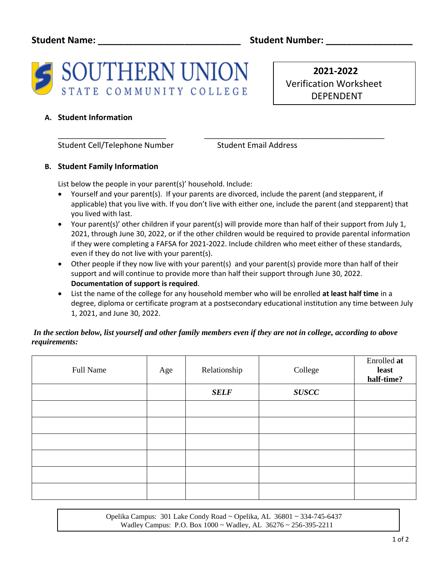

 **2021-2022** Verification Worksheet DEPENDENT

# **A. Student Information**

Student Cell/Telephone Number Student Email Address

## **B. Student Family Information**

List below the people in your parent(s)' household. Include:

• Yourself and your parent(s). If your parents are divorced, include the parent (and stepparent, if applicable) that you live with. If you don't live with either one, include the parent (and stepparent) that you lived with last.

\_\_\_\_\_\_\_\_\_\_\_\_\_\_\_\_\_\_\_\_\_\_\_\_\_\_\_ \_\_\_\_\_\_\_\_\_\_\_\_\_\_\_\_\_\_\_\_\_\_\_\_\_\_\_\_\_\_\_\_\_\_\_\_\_\_\_\_\_\_\_\_\_

- Your parent(s)' other children if your parent(s) will provide more than half of their support from July 1, 2021, through June 30, 2022, or if the other children would be required to provide parental information if they were completing a FAFSA for 2021-2022. Include children who meet either of these standards, even if they do not live with your parent(s).
- Other people if they now live with your parent(s) and your parent(s) provide more than half of their support and will continue to provide more than half their support through June 30, 2022. **Documentation of support is required**.
- List the name of the college for any household member who will be enrolled **at least half time** in a degree, diploma or certificate program at a postsecondary educational institution any time between July 1, 2021, and June 30, 2022.

## *In the section below, list yourself and other family members even if they are not in college, according to above requirements:*

| Full Name | Age | Relationship | College      | Enrolled at<br>least<br>half-time? |
|-----------|-----|--------------|--------------|------------------------------------|
|           |     | <b>SELF</b>  | <b>SUSCC</b> |                                    |
|           |     |              |              |                                    |
|           |     |              |              |                                    |
|           |     |              |              |                                    |
|           |     |              |              |                                    |
|           |     |              |              |                                    |
|           |     |              |              |                                    |

 Opelika Campus: 301 Lake Condy Road ~ Opelika, AL 36801 ~ 334-745-6437 Wadley Campus: P.O. Box 1000 ~ Wadley, AL 36276 ~ 256-395-2211